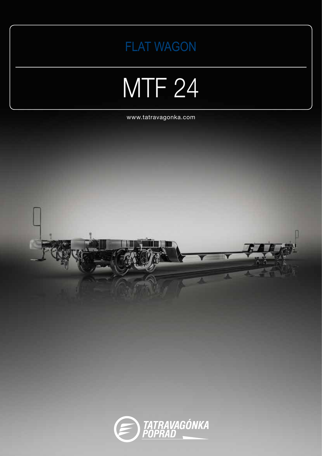

## MTF<sub>24</sub>

www.tatravagonka.com